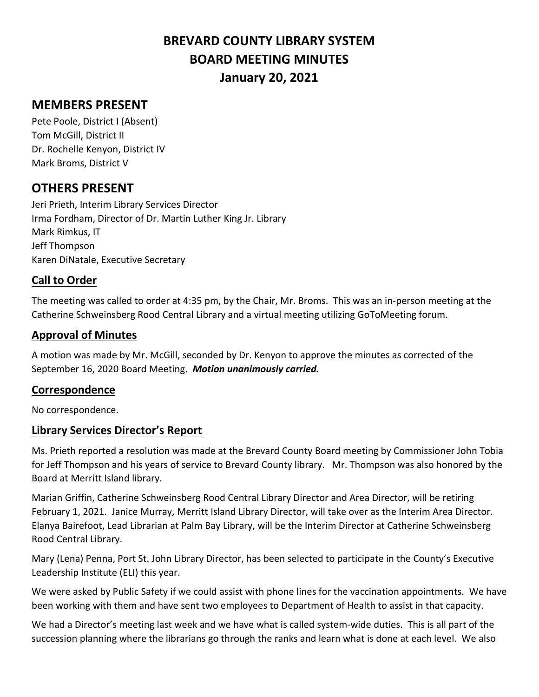# **BREVARD COUNTY LIBRARY SYSTEM BOARD MEETING MINUTES January 20, 2021**

# **MEMBERS PRESENT**

Pete Poole, District I (Absent) Tom McGill, District II Dr. Rochelle Kenyon, District IV Mark Broms, District V

## **OTHERS PRESENT**

Jeri Prieth, Interim Library Services Director Irma Fordham, Director of Dr. Martin Luther King Jr. Library Mark Rimkus, IT Jeff Thompson Karen DiNatale, Executive Secretary

#### **Call to Order**

The meeting was called to order at 4:35 pm, by the Chair, Mr. Broms. This was an in-person meeting at the Catherine Schweinsberg Rood Central Library and a virtual meeting utilizing GoToMeeting forum.

#### **Approval of Minutes**

A motion was made by Mr. McGill, seconded by Dr. Kenyon to approve the minutes as corrected of the September 16, 2020 Board Meeting. *Motion unanimously carried.*

#### **Correspondence**

No correspondence.

### **Library Services Director's Report**

Ms. Prieth reported a resolution was made at the Brevard County Board meeting by Commissioner John Tobia for Jeff Thompson and his years of service to Brevard County library. Mr. Thompson was also honored by the Board at Merritt Island library.

Marian Griffin, Catherine Schweinsberg Rood Central Library Director and Area Director, will be retiring February 1, 2021. Janice Murray, Merritt Island Library Director, will take over as the Interim Area Director. Elanya Bairefoot, Lead Librarian at Palm Bay Library, will be the Interim Director at Catherine Schweinsberg Rood Central Library.

Mary (Lena) Penna, Port St. John Library Director, has been selected to participate in the County's Executive Leadership Institute (ELI) this year.

We were asked by Public Safety if we could assist with phone lines for the vaccination appointments. We have been working with them and have sent two employees to Department of Health to assist in that capacity.

We had a Director's meeting last week and we have what is called system-wide duties. This is all part of the succession planning where the librarians go through the ranks and learn what is done at each level. We also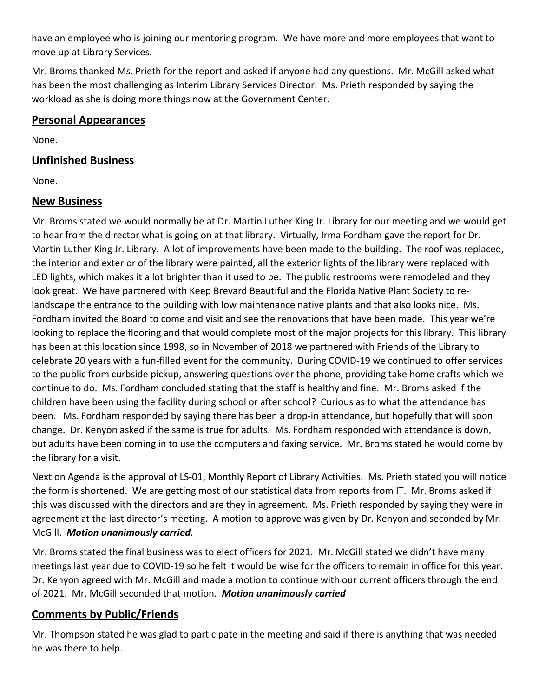have an employee who is joining our mentoring program. We have more and more employees that want to move up at Library Services.

Mr. Broms thanked Ms. Prieth for the report and asked if anyone had any questions. Mr. McGill asked what has been the most challenging as Interim Library Services Director. Ms. Prieth responded by saying the workload as she is doing more things now at the Government Center.

#### **Personal Appearances**

None.

#### **Unfinished Business**

None.

#### **New Business**

Mr. Broms stated we would normally be at Dr. Martin Luther King Jr. Library for our meeting and we would get to hear from the director what is going on at that library. Virtually, Irma Fordham gave the report for Dr. Martin Luther King Jr. Library. A lot of improvements have been made to the building. The roof was replaced, the interior and exterior of the library were painted, all the exterior lights of the library were replaced with LED lights, which makes it a lot brighter than it used to be. The public restrooms were remodeled and they look great. We have partnered with Keep Brevard Beautiful and the Florida Native Plant Society to relandscape the entrance to the building with low maintenance native plants and that also looks nice. Ms. Fordham invited the Board to come and visit and see the renovations that have been made. This year we're looking to replace the flooring and that would complete most of the major projects for this library. This library has been at this location since 1998, so in November of 2018 we partnered with Friends of the Library to celebrate 20 years with a fun-filled event for the community. During COVID-19 we continued to offer services to the public from curbside pickup, answering questions over the phone, providing take home crafts which we continue to do. Ms. Fordham concluded stating that the staff is healthy and fine. Mr. Broms asked if the children have been using the facility during school or after school? Curious as to what the attendance has been. Ms. Fordham responded by saying there has been a drop-in attendance, but hopefully that will soon change. Dr. Kenyon asked if the same is true for adults. Ms. Fordham responded with attendance is down, but adults have been coming in to use the computers and faxing service. Mr. Broms stated he would come by the library for a visit.

Next on Agenda is the approval of LS-01, Monthly Report of Library Activities. Ms. Prieth stated you will notice the form is shortened. We are getting most of our statistical data from reports from IT. Mr. Broms asked if this was discussed with the directors and are they in agreement. Ms. Prieth responded by saying they were in agreement at the last director's meeting. A motion to approve was given by Dr. Kenyon and seconded by Mr. McGill. *Motion unanimously carried*.

Mr. Broms stated the final business was to elect officers for 2021. Mr. McGill stated we didn't have many meetings last year due to COVID-19 so he felt it would be wise for the officers to remain in office for this year. Dr. Kenyon agreed with Mr. McGill and made a motion to continue with our current officers through the end of 2021. Mr. McGill seconded that motion. *Motion unanimously carried*

### **Comments by Public/Friends**

Mr. Thompson stated he was glad to participate in the meeting and said if there is anything that was needed he was there to help.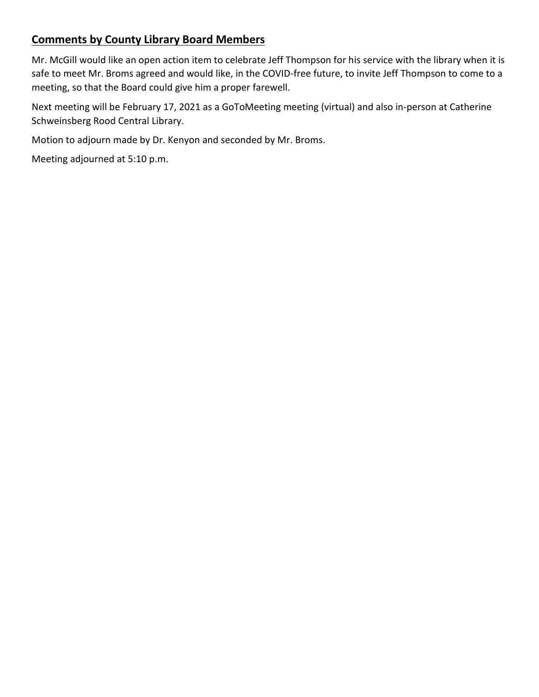## **Comments by County Library Board Members**

Mr. McGill would like an open action item to celebrate Jeff Thompson for his service with the library when it is safe to meet Mr. Broms agreed and would like, in the COVID-free future, to invite Jeff Thompson to come to a meeting, so that the Board could give him a proper farewell.

Next meeting will be February 17, 2021 as a GoToMeeting meeting (virtual) and also in-person at Catherine Schweinsberg Rood Central Library.

Motion to adjourn made by Dr. Kenyon and seconded by Mr. Broms.

Meeting adjourned at 5:10 p.m.